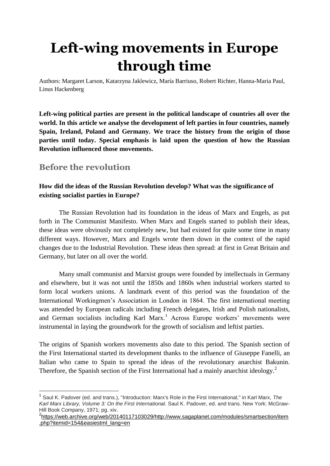# **Left-wing movements in Europe through time**

Authors: Margaret Larson, Katarzyna Jaklewicz, María Barriuso, Robert Richter, Hanna-Maria Paul, Linus Hackenberg

**Left-wing political parties are present in the political landscape of countries all over the world. In this article we analyse the development of left parties in four countries, namely Spain, Ireland, Poland and Germany. We trace the history from the origin of those parties until today. Special emphasis is laid upon the question of how the Russian Revolution influenced those movements.**

# **Before the revolution**

## **How did the ideas of the Russian Revolution develop? What was the significance of existing socialist parties in Europe?**

The Russian Revolution had its foundation in the ideas of Marx and Engels, as put forth in The Communist Manifesto. When Marx and Engels started to publish their ideas, these ideas were obviously not completely new, but had existed for quite some time in many different ways. However, Marx and Engels wrote them down in the context of the rapid changes due to the Industrial Revolution. These ideas then spread: at first in Great Britain and Germany, but later on all over the world.

Many small communist and Marxist groups were founded by intellectuals in Germany and elsewhere, but it was not until the 1850s and 1860s when industrial workers started to form local workers unions. A landmark event of this period was the foundation of the International Workingmen's Association in London in 1864. The first international meeting was attended by European radicals including French delegates, Irish and Polish nationalists, and German socialists including Karl Marx.<sup>1</sup> Across Europe workers' movements were instrumental in laying the groundwork for the growth of socialism and leftist parties.

The origins of Spanish workers movements also date to this period. The Spanish section of the First International started its development thanks to the influence of Giuseppe Fanelli, an Italian who came to Spain to spread the ideas of the revolutionary anarchist Bakunin. Therefore, the Spanish section of the First International had a mainly anarchist ideology.<sup>2</sup>

<sup>1</sup> Saul K. Padover (ed. and trans.), "Introduction: Marx's Role in the First International," in Karl Marx, *The Karl Marx Library, Volume 3: On the First International.* Saul K. Padover, ed. and trans. New York: McGraw-Hill Book Company, 1971; pg. xiv.

<sup>2</sup> [https://web.archive.org/web/20140117103029/http://www.sagaplanet.com/modules/smartsection/item](https://web.archive.org/web/20140117103029/http:/www.sagaplanet.com/modules/smartsection/item.php?itemid=154&easiestml_lang=en) [.php?itemid=154&easiestml\\_lang=en](https://web.archive.org/web/20140117103029/http:/www.sagaplanet.com/modules/smartsection/item.php?itemid=154&easiestml_lang=en)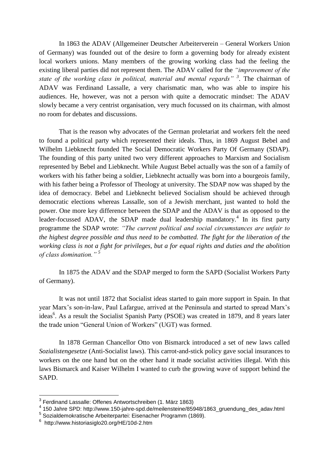In 1863 the ADAV (Allgemeiner Deutscher Arbeiterverein – General Workers Union of Germany) was founded out of the desire to form a governing body for already existent local workers unions. Many members of the growing working class had the feeling the existing liberal parties did not represent them. The ADAV called for the *"improvement of the state of the working class in political, material and mental regards" <sup>3</sup>* . The chairman of ADAV was Ferdinand Lassalle, a very charismatic man, who was able to inspire his audiences. He, however, was not a person with quite a democratic mindset: The ADAV slowly became a very centrist organisation, very much focussed on its chairman, with almost no room for debates and discussions.

That is the reason why advocates of the German proletariat and workers felt the need to found a political party which represented their ideals. Thus, in 1869 August Bebel and Wilhelm Liebknecht founded The Social Democratic Workers Party Of Germany (SDAP). The founding of this party united two very different approaches to Marxism and Socialism represented by Bebel and Liebknecht. While August Bebel actually was the son of a family of workers with his father being a soldier, Liebknecht actually was born into a bourgeois family, with his father being a Professor of Theology at university. The SDAP now was shaped by the idea of democracy. Bebel and Liebknecht believed Socialism should be achieved through democratic elections whereas Lassalle, son of a Jewish merchant, just wanted to hold the power. One more key difference between the SDAP and the ADAV is that as opposed to the leader-focussed ADAV, the SDAP made dual leadership mandatory.<sup>4</sup> In its first party programme the SDAP wrote: *"The current political and social circumstances are unfair to the highest degree possible and thus need to be combatted. The fight for the liberation of the working class is not a fight for privileges, but a for equal rights and duties and the abolition of class domination." <sup>5</sup>*

In 1875 the ADAV and the SDAP merged to form the SAPD (Socialist Workers Party of Germany).

It was not until 1872 that Socialist ideas started to gain more support in Spain. In that year Marx's son-in-law, Paul Lafargue, arrived at the Peninsula and started to spread Marx's ideas<sup>6</sup>. As a result the Socialist Spanish Party (PSOE) was created in 1879, and 8 years later the trade union "General Union of Workers" (UGT) was formed.

In 1878 German Chancellor Otto von Bismarck introduced a set of new laws called *Sozialistengesetze* (Anti-Socialist laws). This carrot-and-stick policy gave social insurances to workers on the one hand but on the other hand it made socialist activities illegal. With this laws Bismarck and Kaiser Wilhelm I wanted to curb the growing wave of support behind the SAPD.

 $\overline{a}$ 

 $^3$  Ferdinand Lassalle: Offenes Antwortschreiben (1. März 1863)

<sup>&</sup>lt;sup>4</sup> 150 Jahre SPD: http://www.150-jahre-spd.de/meilensteine/85948/1863\_gruendung\_des\_adav.html

<sup>&</sup>lt;sup>5</sup> Sozialdemokratische Arbeiterpartei: Eisenacher Programm (1869).

<sup>6</sup> <http://www.historiasiglo20.org/HE/10d-2.htm>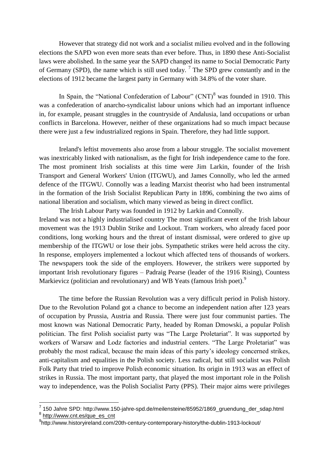However that strategy did not work and a socialist milieu evolved and in the following elections the SAPD won even more seats than ever before. Thus, in 1890 these Anti-Socialist laws were abolished. In the same year the SAPD changed its name to Social Democratic Party of Germany (SPD), the name which is still used today.<sup>7</sup> The SPD grew constantly and in the elections of 1912 became the largest party in Germany with 34.8% of the voter share.

In Spain, the "National Confederation of Labour"  $(CNT)^8$  was founded in 1910. This was a confederation of anarcho-syndicalist labour unions which had an important influence in, for example, peasant struggles in the countryside of Andalusia, land occupations or urban conflicts in Barcelona. However, neither of these organizations had so much impact because there were just a few industrialized regions in Spain. Therefore, they had little support.

Ireland's leftist movements also arose from a labour struggle. The socialist movement was inextricably linked with nationalism, as the fight for Irish independence came to the fore. The most prominent Irish socialists at this time were Jim Larkin, founder of the Irish Transport and General Workers' Union (ITGWU), and James Connolly, who led the armed defence of the ITGWU. Connolly was a leading Marxist theorist who had been instrumental in the formation of the Irish Socialist Republican Party in 1896, combining the two aims of national liberation and socialism, which many viewed as being in direct conflict.

The Irish Labour Party was founded in 1912 by Larkin and Connolly. Ireland was not a highly industrialised country The most significant event of the Irish labour movement was the 1913 Dublin Strike and Lockout. Tram workers, who already faced poor conditions, long working hours and the threat of instant dismissal, were ordered to give up membership of the ITGWU or lose their jobs. Sympathetic strikes were held across the city. In response, employers implemented a lockout which affected tens of thousands of workers. The newspapers took the side of the employers. However, the strikers were supported by important Irish revolutionary figures – Padraig Pearse (leader of the 1916 Rising), Countess Markievicz (politician and revolutionary) and WB Yeats (famous Irish poet).<sup>9</sup>

The time before the Russian Revolution was a very difficult period in Polish history. Due to the Revolution Poland got a chance to become an independent nation after 123 years of occupation by Prussia, Austria and Russia. There were just four communist parties. The most known was National Democratic Party, headed by Roman Dmowski, a popular Polish politician. The first Polish socialist party was "The Large Proletariat". It was supported by workers of Warsaw and Lodz factories and industrial centers. "The Large Proletariat" was probably the most radical, because the main ideas of this party's ideology concerned strikes, anti-capitalism and equalities in the Polish society. Less radical, but still socialist was Polish Folk Party that tried to improve Polish economic situation. Its origin in 1913 was an effect of strikes in Russia. The most important party, that played the most important role in the Polish way to independence, was the Polish Socialist Party (PPS). Their major aims were privileges

 $\overline{a}$ 

<sup>&</sup>lt;sup>7</sup> 150 Jahre SPD: http://www.150-jahre-spd.de/meilensteine/85952/1869\_gruendung\_der\_sdap.html <sup>8</sup> [http://www.cnt.es/que\\_es\\_cnt](http://www.cnt.es/que_es_cnt)

<sup>&</sup>lt;sup>9</sup>http://www.historyireland.com/20th-century-contemporary-history/the-dublin-1913-lockout/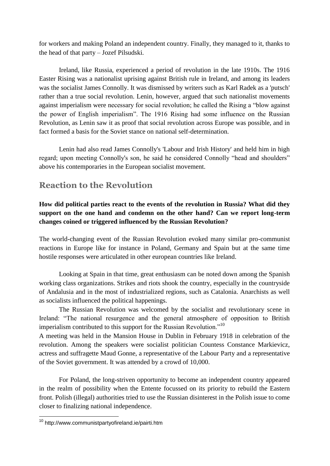for workers and making Poland an independent country. Finally, they managed to it, thanks to the head of that party – Jozef Pilsudski.

Ireland, like Russia, experienced a period of revolution in the late 1910s. The 1916 Easter Rising was a nationalist uprising against British rule in Ireland, and among its leaders was the socialist James Connolly. It was dismissed by writers such as Karl Radek as a 'putsch' rather than a true social revolution. Lenin, however, argued that such nationalist movements against imperialism were necessary for social revolution; he called the Rising a "blow against the power of English imperialism". The 1916 Rising had some influence on the Russian Revolution, as Lenin saw it as proof that social revolution across Europe was possible, and in fact formed a basis for the Soviet stance on national self-determination.

Lenin had also read James Connolly's 'Labour and Irish History' and held him in high regard; upon meeting Connolly's son, he said he considered Connolly "head and shoulders" above his contemporaries in the European socialist movement.

# **Reaction to the Revolution**

## **How did political parties react to the events of the revolution in Russia? What did they support on the one hand and condemn on the other hand? Can we report long-term changes coined or triggered influenced by the Russian Revolution?**

The world-changing event of the Russian Revolution evoked many similar pro-communist reactions in Europe like for instance in Poland, Germany and Spain but at the same time hostile responses were articulated in other european countries like Ireland.

Looking at Spain in that time, great enthusiasm can be noted down among the Spanish working class organizations. Strikes and riots shook the country, especially in the countryside of Andalusia and in the most of industrialized regions, such as Catalonia. Anarchists as well as socialists influenced the political happenings.

The Russian Revolution was welcomed by the socialist and revolutionary scene in Ireland: "The national resurgence and the general atmosphere of opposition to British imperialism contributed to this support for the Russian Revolution."<sup>10</sup>

A meeting was held in the Mansion House in Dublin in February 1918 in celebration of the revolution. Among the speakers were socialist politician Countess Constance Markievicz, actress and suffragette Maud Gonne, a representative of the Labour Party and a representative of the Soviet government. It was attended by a crowd of 10,000.

For Poland, the long-striven opportunity to become an independent country appeared in the realm of possibility when the Entente focussed on its priority to rebuild the Eastern front. Polish (illegal) authorities tried to use the Russian disinterest in the Polish issue to come closer to finalizing national independence.

<sup>&</sup>lt;sup>10</sup> http://www.communistpartyofireland.ie/pairti.htm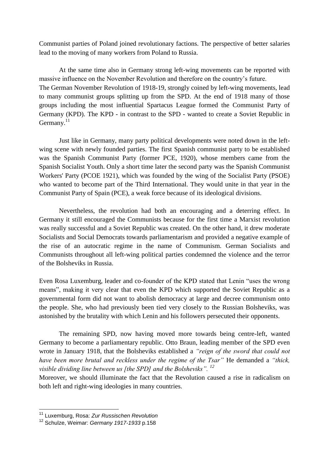Communist parties of Poland joined revolutionary factions. The perspective of better salaries lead to the moving of many workers from Poland to Russia.

At the same time also in Germany strong left-wing movements can be reported with massive influence on the November Revolution and therefore on the country's future. The German November Revolution of 1918-19, strongly coined by left-wing movements, lead to many communist groups splitting up from the SPD. At the end of 1918 many of those groups including the most influential Spartacus League formed the Communist Party of Germany (KPD). The KPD - in contrast to the SPD - wanted to create a Soviet Republic in Germany. $^{11}$ 

Just like in Germany, many party political developments were noted down in the leftwing scene with newly founded parties. The first Spanish communist party to be established was the Spanish Communist Party (former PCE, 1920), whose members came from the Spanish Socialist Youth. Only a short time later the second party was the Spanish Communist Workers' Party (PCOE 1921), which was founded by the wing of the Socialist Party (PSOE) who wanted to become part of the Third International. They would unite in that year in the Communist Party of Spain (PCE), a weak force because of its ideological divisions.

Nevertheless, the revolution had both an encouraging and a deterring effect. In Germany it still encouraged the Communists because for the first time a Marxist revolution was really successful and a Soviet Republic was created. On the other hand, it drew moderate Socialists and Social Democrats towards parliamentarism and provided a negative example of the rise of an autocratic regime in the name of Communism. German Socialists and Communists throughout all left-wing political parties condemned the violence and the terror of the Bolsheviks in Russia.

Even Rosa Luxemburg, leader and co-founder of the KPD stated that Lenin "uses the wrong means", making it very clear that even the KPD which supported the Soviet Republic as a governmental form did not want to abolish democracy at large and decree communism onto the people. She, who had previously been tied very closely to the Russian Bolsheviks, was astonished by the brutality with which Lenin and his followers persecuted their opponents.

The remaining SPD, now having moved more towards being centre-left, wanted Germany to become a parliamentary republic. Otto Braun, leading member of the SPD even wrote in January 1918, that the Bolsheviks established a *"reign of the sword that could not have been more brutal and reckless under the regime of the Tsar"* He demanded a *"thick, visible dividing line between us [the SPD] and the Bolsheviks". <sup>12</sup>*

Moreover, we should illuminate the fact that the Revolution caused a rise in radicalism on both left and right-wing ideologies in many countries.

<sup>11</sup> Luxemburg, Rosa: *Zur Russischen Revolution* 

<sup>12</sup> Schulze, Weimar: *Germany 1917-1933* p.158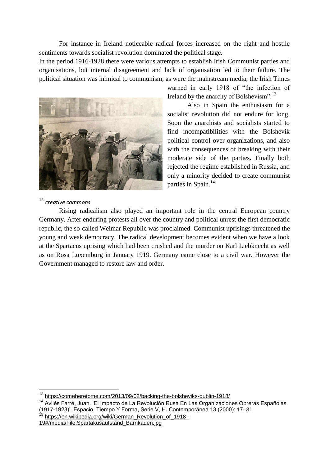For instance in Ireland noticeable radical forces increased on the right and hostile sentiments towards socialist revolution dominated the political stage.

In the period 1916-1928 there were various attempts to establish Irish Communist parties and organisations, but internal disagreement and lack of organisation led to their failure. The political situation was inimical to communism, as were the mainstream media; the Irish Times



warned in early 1918 of "the infection of Ireland by the anarchy of Bolshevism".<sup>13</sup>

Also in Spain the enthusiasm for a socialist revolution did not endure for long. Soon the anarchists and socialists started to find incompatibilities with the Bolshevik political control over organizations, and also with the consequences of breaking with their moderate side of the parties. Finally both rejected the regime established in Russia, and only a minority decided to create communist parties in Spain.<sup>14</sup>

# <sup>15</sup> *creative commons*

Rising radicalism also played an important role in the central European country Germany. After enduring protests all over the country and political unrest the first democratic republic, the so-called Weimar Republic was proclaimed. Communist uprisings threatened the young and weak democracy. The radical development becomes evident when we have a look at the Spartacus uprising which had been crushed and the murder on Karl Liebknecht as well as on Rosa Luxemburg in January 1919. Germany came close to a civil war. However the Government managed to restore law and order.

[19#/media/File:Spartakusaufstand\\_Barrikaden.jpg](https://en.wikipedia.org/wiki/German_Revolution_of_1918%E2%80%9319#/media/File:Spartakusaufstand_Barrikaden.jpg)

<sup>13</sup> <https://comeheretome.com/2013/09/02/backing-the-bolsheviks-dublin-1918/>

<sup>&</sup>lt;sup>14</sup> Avilés Farré, Juan. 'El Impacto de La Revolución Rusa En Las Organizaciones Obreras Españolas (1917-1923)'. Espacio, Tiempo Y Forma, Serie V, H. Contemporánea 13 (2000): 17–31. <sup>15</sup> [https://en.wikipedia.org/wiki/German\\_Revolution\\_of\\_1918–](https://en.wikipedia.org/wiki/German_Revolution_of_1918%E2%80%9319#/media/File:Spartakusaufstand_Barrikaden.jpg)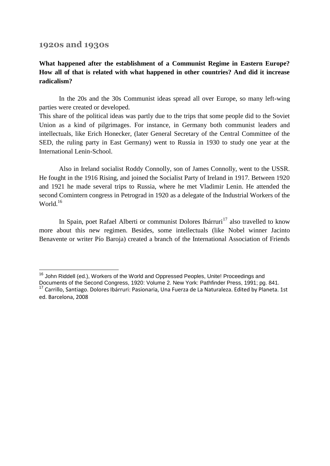### **1920s and 1930s**

## **What happened after the establishment of a Communist Regime in Eastern Europe? How all of that is related with what happened in other countries? And did it increase radicalism?**

In the 20s and the 30s Communist ideas spread all over Europe, so many left-wing parties were created or developed.

This share of the political ideas was partly due to the trips that some people did to the Soviet Union as a kind of pilgrimages. For instance, in Germany both communist leaders and intellectuals, like Erich Honecker, (later General Secretary of the Central Committee of the SED, the ruling party in East Germany) went to Russia in 1930 to study one year at the International Lenin-School.

Also in Ireland socialist Roddy Connolly, son of James Connolly, went to the USSR. He fought in the 1916 Rising, and joined the Socialist Party of Ireland in 1917. Between 1920 and 1921 he made several trips to Russia, where he met Vladimir Lenin. He attended the second Comintern congress in Petrograd in 1920 as a delegate of the Industrial Workers of the World.<sup>16</sup>

In Spain, poet Rafael Alberti or communist Dolores Ibárruri<sup>17</sup> also travelled to know more about this new regimen. Besides, some intellectuals (like Nobel winner Jacinto Benavente or writer Pío Baroja) created a branch of the International Association of Friends

<sup>&</sup>lt;sup>16</sup> John Riddell (ed.), Workers of the World and Oppressed Peoples, Unite! Proceedings and

Documents of the Second Congress, 1920: Volume 2. New York: Pathfinder Press, 1991; pg. 841. <sup>17</sup> Carrillo, Santiago. Dolores Ibárruri: Pasionaria, Una Fuerza de La Naturaleza. Edited by Planeta. 1st ed. Barcelona, 2008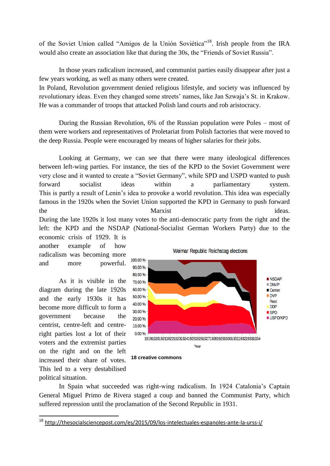of the Soviet Union called "Amigos de la Unión Soviética"<sup>18</sup>. Irish people from the IRA would also create an association like that during the 30s, the "Friends of Soviet Russia".

In those years radicalism increased, and communist parties easily disappear after just a few years working, as well as many others were created.

In Poland, Revolution government denied religious lifestyle, and society was influenced by revolutionary ideas. Even they changed some streets' names, like Jan Szwaja's St. in Krakow. He was a commander of troops that attacked Polish land courts and rob aristocracy.

During the Russian Revolution, 6% of the Russian population were Poles – most of them were workers and representatives of Proletariat from Polish factories that were moved to the deep Russia. People were encouraged by means of higher salaries for their jobs.

Looking at Germany, we can see that there were many ideological differences between left-wing parties. For instance, the ties of the KPD to the Soviet Government were very close and it wanted to create a "Soviet Germany", while SPD and USPD wanted to push forward socialist ideas within a parliamentary system. This is partly a result of Lenin's idea to provoke a world revolution. This idea was especially famous in the 1920s when the Soviet Union supported the KPD in Germany to push forward the Marxist Marxist ideas.

During the late 1920s it lost many votes to the anti-democratic party from the right and the left: the KPD and the NSDAP (National-Socialist German Workers Party) due to the

economic crisis of 1929. It is another example of how radicalism was becoming more and more powerful.

As it is visible in the diagram during the late 1920s and the early 1930s it has become more difficult to form a government because the centrist, centre-left and centreright parties lost a lot of their voters and the extremist parties on the right and on the left increased their share of votes. This led to a very destabilised political situation.





In Spain what succeeded was right-wing radicalism. In 1924 Catalonia's Captain General Miguel Primo de Rivera staged a coup and banned the Communist Party, which suffered repression until the proclamation of the Second Republic in 1931.

<sup>&</sup>lt;sup>18</sup> <http://thesocialsciencepost.com/es/2015/09/los-intelectuales-espanoles-ante-la-urss-i/>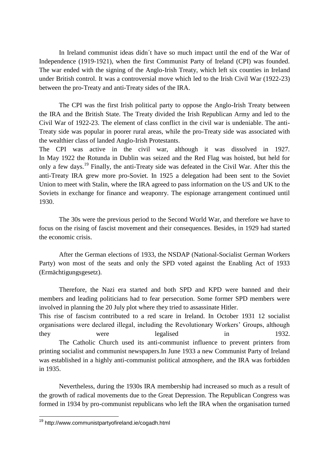In Ireland communist ideas didn´t have so much impact until the end of the War of Independence (1919-1921), when the first Communist Party of Ireland (CPI) was founded. The war ended with the signing of the Anglo-Irish Treaty, which left six counties in Ireland under British control. It was a controversial move which led to the Irish Civil War (1922-23) between the pro-Treaty and anti-Treaty sides of the IRA.

The CPI was the first Irish political party to oppose the Anglo-Irish Treaty between the IRA and the British State. The Treaty divided the Irish Republican Army and led to the Civil War of 1922-23. The element of class conflict in the civil war is undeniable. The anti-Treaty side was popular in poorer rural areas, while the pro-Treaty side was associated with the wealthier class of landed Anglo-Irish Protestants.

The CPI was active in the civil war, although it was dissolved in 1927. In May 1922 the Rotunda in Dublin was seized and the Red Flag was hoisted, but held for only a few days.<sup>19</sup> Finally, the anti-Treaty side was defeated in the Civil War. After this the anti-Treaty IRA grew more pro-Soviet. In 1925 a delegation had been sent to the Soviet Union to meet with Stalin, where the IRA agreed to pass information on the US and UK to the Soviets in exchange for finance and weaponry. The espionage arrangement continued until 1930.

The 30s were the previous period to the Second World War, and therefore we have to focus on the rising of fascist movement and their consequences. Besides, in 1929 had started the economic crisis.

After the German elections of 1933, the NSDAP (National-Socialist German Workers Party) won most of the seats and only the SPD voted against the Enabling Act of 1933 (Ermächtigungsgesetz).

Therefore, the Nazi era started and both SPD and KPD were banned and their members and leading politicians had to fear persecution. Some former SPD members were involved in planning the 20 July plot where they tried to assassinate Hitler.

This rise of fascism contributed to a red scare in Ireland. In October 1931 12 socialist organisations were declared illegal, including the Revolutionary Workers' Groups, although they were legalised in 1932. The Catholic Church used its anti-communist influence to prevent printers from printing socialist and communist newspapers.In June 1933 a new Communist Party of Ireland was established in a highly anti-communist political atmosphere, and the IRA was forbidden in 1935.

Nevertheless, during the 1930s IRA membership had increased so much as a result of the growth of radical movements due to the Great Depression. The Republican Congress was formed in 1934 by pro-communist republicans who left the IRA when the organisation turned

<sup>&</sup>lt;sup>19</sup> http://www.communistpartyofireland.ie/cogadh.html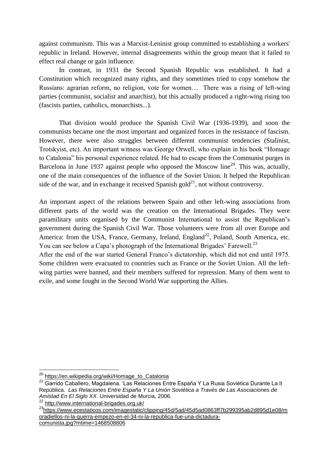against communism. This was a Marxist-Leninist group committed to establishing a workers' republic in Ireland. However, internal disagreements within the group meant that it failed to effect real change or gain influence.

In contrast, in 1931 the Second Spanish Republic was established. It had a Constitution which recognized many rights, and they sometimes tried to copy somehow the Russians: agrarian reform, no religion, vote for women… There was a rising of left-wing parties (communist, socialist and anarchist), but this actually produced a right-wing rising too (fascists parties, catholics, monarchists...).

That division would produce the Spanish Civil War (1936-1939), and soon the communists became one the most important and organized forces in the resistance of fascism. However, there were also struggles between different communist tendencies (Stalinist, Trotskyist, etc). An important witness was George Orwell, who explain in his book "Homage to Catalonia" his personal experience related. He had to escape from the Communist purges in Barcelona in June 1937 against people who opposed the Moscow line<sup>20</sup>. This was, actually, one of the main consequences of the influence of the Soviet Union. It helped the Republican side of the war, and in exchange it received Spanish gold<sup>21</sup>, not without controversy.

An important aspect of the relations between Spain and other left-wing associations from different parts of the world was the creation on the International Brigades. They were paramilitary units organised by the Communist International to assist the Republican's government during the Spanish Civil War. Those volunteers were from all over Europe and America: from the USA, France, Germany, Ireland, England<sup>22</sup>, Poland, South America, etc. You can see below a Capa's photograph of the International Brigades' Farewell.<sup>23</sup>

After the end of the war started General Franco's dictatorship, which did not end until 1975. Some children were evacuated to countries such as France or the Soviet Union. All the leftwing parties were banned, and their members suffered for repression. Many of them went to exile, and some fought in the Second World War supporting the Allies.

<sup>&</sup>lt;sup>20</sup> [https://en.wikipedia.org/wiki/Homage\\_to\\_Catalonia](https://en.wikipedia.org/wiki/Homage_to_Catalonia)

<sup>21</sup> Garrido Caballero, Magdalena. 'Las Relaciones Entre España Y La Rusia Soviética Durante La II República. *Las Relaciones Entre España Y La Unión Soviética a Través de Las Asociaciones de Amistad En El Siglo XX*. Universidad de Murcia, 2006.

<sup>&</sup>lt;sup>22</sup> <http://www.international-brigades.org.uk/>

<sup>23</sup>[https://www.ecestaticos.com/imagestatic/clipping/45d/5ad/45d5ad0863ff7b299395ab2d895d1e08/m](https://www.ecestaticos.com/imagestatic/clipping/45d/5ad/45d5ad0863ff7b299395ab2d895d1e08/moradiellos-ni-la-guerra-empezo-en-el-34-ni-la-republica-fue-una-dictadura-comunista.jpg?mtime=1468508806) [oradiellos-ni-la-guerra-empezo-en-el-34-ni-la-republica-fue-una-dictadura](https://www.ecestaticos.com/imagestatic/clipping/45d/5ad/45d5ad0863ff7b299395ab2d895d1e08/moradiellos-ni-la-guerra-empezo-en-el-34-ni-la-republica-fue-una-dictadura-comunista.jpg?mtime=1468508806)[comunista.jpg?mtime=1468508806](https://www.ecestaticos.com/imagestatic/clipping/45d/5ad/45d5ad0863ff7b299395ab2d895d1e08/moradiellos-ni-la-guerra-empezo-en-el-34-ni-la-republica-fue-una-dictadura-comunista.jpg?mtime=1468508806)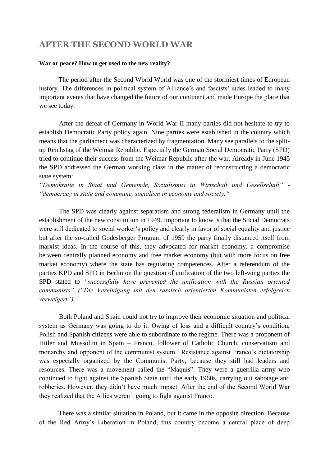# **AFTER THE SECOND WORLD WAR**

#### **War or peace? How to get used to the new reality?**

The period after the Second World World was one of the stormiest times of European history. The differences in political system of Alliance's and fascists' sides leaded to many important events that have changed the future of our continent and made Europe the place that we see today.

After the defeat of Germany in World War II many parties did not hesitate to try to establish Democratic Party policy again. Nine parties were established in the country which means that the parliament was characterized by fragmentation. Many see parallels to the splitup Reichstag of the Weimar Republic. Especially the German Social Democratic Party (SPD) tried to continue their success from the Weimar Republic after the war. Already in June 1945 the SPD addressed the German working class in the matter of reconstructing a democratic state system:

*"Demokratie in Staat und Gemeinde, Sozialismus in Wirtschaft und Gesellschaft" - "democracy in state and commune, socialism in economy and society."*

The SPD was clearly against separatism and strong federalism in Germany until the establishment of the new constitution in 1949. Important to know is that the Social Democrats were still dedicated to social worker's policy and clearly in favor of social equality and justice but after the so-called Godesberger Program of 1959 the party finally distanced itself from marxist ideas. In the course of this, they advocated for market economy, a compromise between centrally planned economy and free market economy (but with more focus on free market economy) where the state has regulating competences. After a referendum of the parties KPD and SPD in Berlin on the question of unification of the two left-wing parties the SPD stated to *"successfully have prevented the unification with the Russian oriented communists" ("Die Vereinigung mit den russisch orientierten Kommunisten erfolgreich verweigert").*

 Both Poland and Spain could not try to improve their economic situation and political system as Germany was going to do it. Owing of loss and a difficult country's condition, Polish and Spanish citizens were able to subordinate to the regime. There was a proponent of Hitler and Mussolini in Spain – Franco, follower of Catholic Church, conservatism and monarchy and opponent of the communist system. Resistance against Franco's dictatorship was especially organized by the Communist Party, because they still had leaders and resources. There was a movement called the "Maquis". They were a guerrilla army who continued to fight against the Spanish State until the early 1960s, carrying out sabotage and robberies. However, they didn't have much impact. After the end of the Second World War they realized that the Allies weren't going to fight against Franco.

There was a similar situation in Poland, but it came in the opposite direction. Because of the Red Army's Liberation in Poland, this country become a central place of deep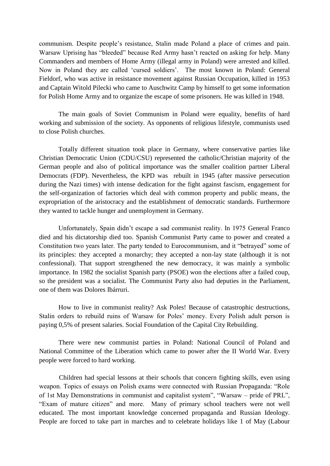communism. Despite people's resistance, Stalin made Poland a place of crimes and pain. Warsaw Uprising has "bleeded" because Red Army hasn't reacted on asking for help. Many Commanders and members of Home Army (illegal army in Poland) were arrested and killed. Now in Poland they are called 'cursed soldiers'. The most known in Poland: General Fieldorf, who was active in resistance movement against Russian Occupation, killed in 1953 and Captain Witold Pilecki who came to Auschwitz Camp by himself to get some information for Polish Home Army and to organize the escape of some prisoners. He was killed in 1948.

The main goals of Soviet Communism in Poland were equality, benefits of hard working and submission of the society. As opponents of religious lifestyle, communists used to close Polish churches.

Totally different situation took place in Germany, where conservative parties like Christian Democratic Union (CDU/CSU) represented the catholic/Christian majority of the German people and also of political importance was the smaller coalition partner Liberal Democrats (FDP). Nevertheless, the KPD was rebuilt in 1945 (after massive persecution during the Nazi times) with intense dedication for the fight against fascism, engagement for the self-organization of factories which deal with common property and public means, the expropriation of the aristocracy and the establishment of democratic standards. Furthermore they wanted to tackle hunger and unemployment in Germany.

Unfortunately, Spain didn't escape a sad communist reality. In 1975 General Franco died and his dictatorship died too. Spanish Communist Party came to power and created a Constitution two years later. The party tended to Eurocommunism, and it "betrayed" some of its principles: they accepted a monarchy; they accepted a non-lay state (although it is not confessional). That support strengthened the new democracy, it was mainly a symbolic importance. In 1982 the socialist Spanish party (PSOE) won the elections after a failed coup, so the president was a socialist. The Communist Party also had deputies in the Parliament, one of them was Dolores Ibárruri.

How to live in communist reality? Ask Poles! Because of catastrophic destructions, Stalin orders to rebuild ruins of Warsaw for Poles' money. Every Polish adult person is paying 0,5% of present salaries. Social Foundation of the Capital City Rebuilding.

There were new communist parties in Poland: National Council of Poland and National Committee of the Liberation which came to power after the II World War. Every people were forced to hard working.

Children had special lessons at their schools that concern fighting skills, even using weapon. Topics of essays on Polish exams were connected with Russian Propaganda: "Role of 1st May Demonstrations in communist and capitalist system", "Warsaw – pride of PRL", "Exam of mature citizen" and more. Many of primary school teachers were not well educated. The most important knowledge concerned propaganda and Russian Ideology. People are forced to take part in marches and to celebrate holidays like 1 of May (Labour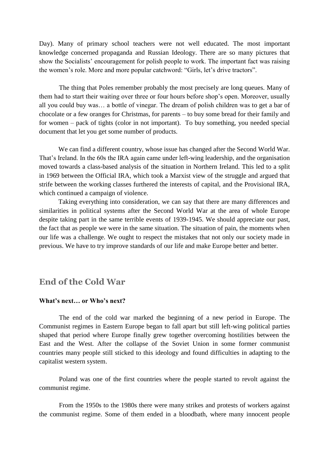Day). Many of primary school teachers were not well educated. The most important knowledge concerned propaganda and Russian Ideology. There are so many pictures that show the Socialists' encouragement for polish people to work. The important fact was raising the women's role. More and more popular catchword: "Girls, let's drive tractors".

The thing that Poles remember probably the most precisely are long queues. Many of them had to start their waiting over three or four hours before shop's open. Moreover, usually all you could buy was… a bottle of vinegar. The dream of polish children was to get a bar of chocolate or a few oranges for Christmas, for parents – to buy some bread for their family and for women – pack of tights (color in not important). To buy something, you needed special document that let you get some number of products.

We can find a different country, whose issue has changed after the Second World War. That's Ireland. In the 60s the IRA again came under left-wing leadership, and the organisation moved towards a class-based analysis of the situation in Northern Ireland. This led to a split in 1969 between the Official IRA, which took a Marxist view of the struggle and argued that strife between the working classes furthered the interests of capital, and the Provisional IRA, which continued a campaign of violence.

Taking everything into consideration, we can say that there are many differences and similarities in political systems after the Second World War at the area of whole Europe despite taking part in the same terrible events of 1939-1945. We should appreciate our past, the fact that as people we were in the same situation. The situation of pain, the moments when our life was a challenge. We ought to respect the mistakes that not only our society made in previous. We have to try improve standards of our life and make Europe better and better.

## **End of the Cold War**

#### **What's next… or Who's next?**

The end of the cold war marked the beginning of a new period in Europe. The Communist regimes in Eastern Europe began to fall apart but still left-wing political parties shaped that period where Europe finally grew together overcoming hostilities between the East and the West. After the collapse of the Soviet Union in some former communist countries many people still sticked to this ideology and found difficulties in adapting to the capitalist western system.

Poland was one of the first countries where the people started to revolt against the communist regime.

From the 1950s to the 1980s there were many strikes and protests of workers against the communist regime. Some of them ended in a bloodbath, where many innocent people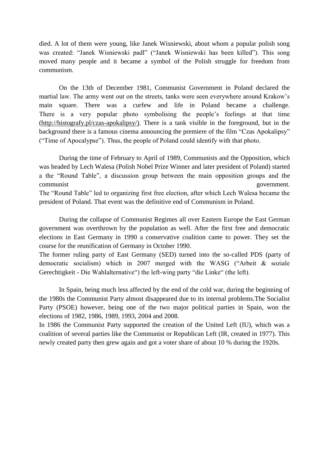died. A lot of them were young, like Janek Wisniewski, about whom a popular polish song was created: "Janek Wisniewski padl" ("Janek Wisniewski has been killed"). This song moved many people and it became a symbol of the Polish struggle for freedom from communism.

On the 13th of December 1981, Communist Government in Poland declared the martial law. The army went out on the streets, tanks were seen everywhere around Krakow's main square. There was a curfew and life in Poland became a challenge. There is a very popular photo symbolising the people's feelings at that time [\(http://histografy.pl/czas-apokalipsy/\)](http://histografy.pl/czas-apokalipsy/). There is a tank visible in the foreground, but in the background there is a famous cinema announcing the premiere of the film "Czas Apokalipsy" ("Time of Apocalypse"). Thus, the people of Poland could identify with that photo.

During the time of February to April of 1989, Communists and the Opposition, which was headed by Lech Walesa (Polish Nobel Prize Winner and later president of Poland) started a the "Round Table", a discussion group between the main opposition groups and the communist government. The "Round Table" led to organizing first free election, after which Lech Walesa became the president of Poland. That event was the definitive end of Communism in Poland.

During the collapse of Communist Regimes all over Eastern Europe the East German government was overthrown by the population as well. After the first free and democratic elections in East Germany in 1990 a conservative coalition came to power. They set the course for the reunification of Germany in October 1990.

The former ruling party of East Germany (SED) turned into the so-called PDS (party of democratic socialism) which in 2007 merged with the WASG ("Arbeit & soziale Gerechtigkeit - Die Wahlalternative") the left-wing party "die Linke" (the left).

In Spain, being much less affected by the end of the cold war, during the beginning of the 1980s the Communist Party almost disappeared due to its internal problems.The Socialist Party (PSOE) however, being one of the two major political parties in Spain, won the elections of 1982, 1986, 1989, 1993, 2004 and 2008.

In 1986 the Communist Party supported the creation of the United Left (IU), which was a coalition of several parties like the Communist or Republican Left (IR, created in 1977). This newly created party then grew again and got a voter share of about 10 % during the 1920s.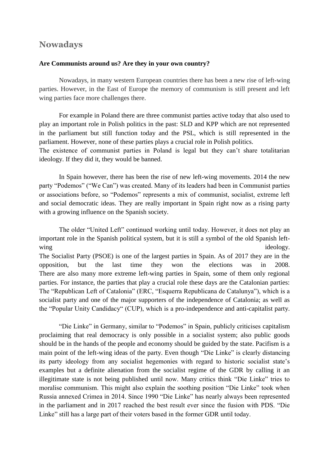# **Nowadays**

#### **Are Communists around us? Are they in your own country?**

Nowadays, in many western European countries there has been a new rise of left-wing parties. However, in the East of Europe the memory of communism is still present and left wing parties face more challenges there.

For example in Poland there are three communist parties active today that also used to play an important role in Polish politics in the past: SLD and KPP which are not represented in the parliament but still function today and the PSL, which is still represented in the parliament. However, none of these parties plays a crucial role in Polish politics.

The existence of communist parties in Poland is legal but they can't share totalitarian ideology. If they did it, they would be banned.

In Spain however, there has been the rise of new left-wing movements. 2014 the new party "Podemos" ("We Can") was created. Many of its leaders had been in Communist parties or associations before, so "Podemos" represents a mix of communist, socialist, extreme left and social democratic ideas. They are really important in Spain right now as a rising party with a growing influence on the Spanish society.

The older "United Left" continued working until today. However, it does not play an important role in the Spanish political system, but it is still a symbol of the old Spanish leftwing ideology.

The Socialist Party (PSOE) is one of the largest parties in Spain. As of 2017 they are in the opposition, but the last time they won the elections was in 2008. There are also many more extreme left-wing parties in Spain, some of them only regional parties. For instance, the parties that play a crucial role these days are the Catalonian parties: The "Republican Left of Catalonia" (ERC, "Esquerra Republicana de Catalunya"), which is a socialist party and one of the major supporters of the independence of Catalonia; as well as the "Popular Unity Candidacy" (CUP), which is a pro-independence and anti-capitalist party.

"Die Linke" in Germany, similar to "Podemos" in Spain, publicly criticises capitalism proclaiming that real democracy is only possible in a socialist system; also public goods should be in the hands of the people and economy should be guided by the state. Pacifism is a main point of the left-wing ideas of the party. Even though "Die Linke" is clearly distancing its party ideology from any socialist hegemonies with regard to historic socialist state's examples but a definite alienation from the socialist regime of the GDR by calling it an illegitimate state is not being published until now. Many critics think "Die Linke" tries to moralise communism. This might also explain the soothing position "Die Linke" took when Russia annexed Crimea in 2014. Since 1990 "Die Linke" has nearly always been represented in the parliament and in 2017 reached the best result ever since the fusion with PDS. "Die Linke" still has a large part of their voters based in the former GDR until today.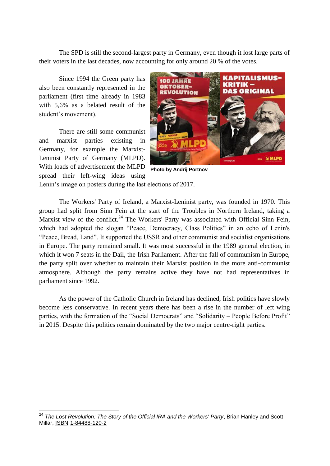The SPD is still the second-largest party in Germany, even though it lost large parts of their voters in the last decades, now accounting for only around 20 % of the votes.

Since 1994 the Green party has also been constantly represented in the parliament (first time already in 1983 with 5,6% as a belated result of the student's movement).

There are still some communist and marxist parties existing in Germany, for example the Marxist-Leninist Party of Germany (MLPD). With loads of advertisement the MLPD spread their left-wing ideas using

 $\overline{a}$ 



**Photo by Andrij Portnov**

Lenin's image on posters during the last elections of 2017.

The Workers' Party of Ireland, a Marxist-Leninist party, was founded in 1970. This group had split from Sinn Fein at the start of the Troubles in Northern Ireland, taking a Marxist view of the conflict.<sup>24</sup> The Workers' Party was associated with Official Sinn Fein, which had adopted the slogan "Peace, Democracy, Class Politics" in an echo of Lenin's "Peace, Bread, Land". It supported the USSR and other communist and socialist organisations in Europe. The party remained small. It was most successful in the 1989 general election, in which it won 7 seats in the Dail, the Irish Parliament. After the fall of communism in Europe, the party split over whether to maintain their Marxist position in the more anti-communist atmosphere. Although the party remains active they have not had representatives in parliament since 1992.

As the power of the Catholic Church in Ireland has declined, Irish politics have slowly become less conservative. In recent years there has been a rise in the number of left wing parties, with the formation of the "Social Democrats" and "Solidarity – People Before Profit" in 2015. Despite this politics remain dominated by the two major centre-right parties.

<sup>24</sup> *The Lost Revolution: The Story of the Official IRA and the Workers' Party*, Brian Hanley and Scott Millar, [ISBN](https://en.wikipedia.org/wiki/International_Standard_Book_Number) [1-84488-120-2](https://en.wikipedia.org/wiki/Special:BookSources/1-84488-120-2)